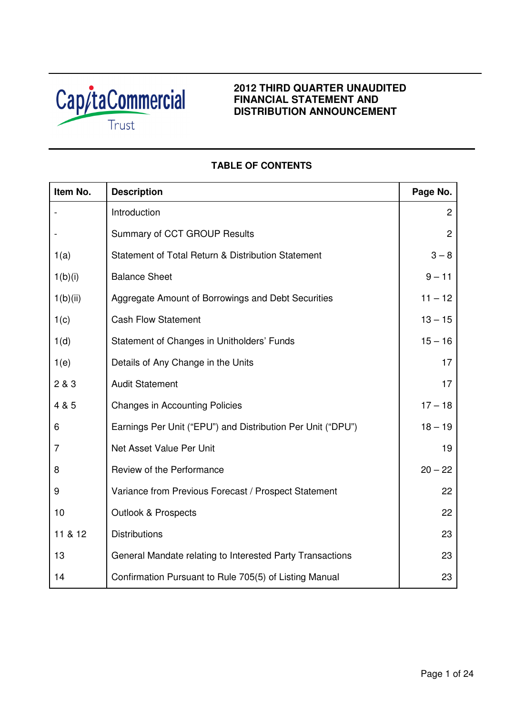

## **2012 THIRD QUARTER UNAUDITED FINANCIAL STATEMENT AND DISTRIBUTION ANNOUNCEMENT**

# **TABLE OF CONTENTS**

| Item No. | <b>Description</b>                                          | Page No.       |
|----------|-------------------------------------------------------------|----------------|
|          | Introduction                                                | $\overline{c}$ |
|          | Summary of CCT GROUP Results                                | $\overline{2}$ |
| 1(a)     | Statement of Total Return & Distribution Statement          | $3 - 8$        |
| 1(b)(i)  | <b>Balance Sheet</b>                                        | $9 - 11$       |
| 1(b)(ii) | Aggregate Amount of Borrowings and Debt Securities          | $11 - 12$      |
| 1(c)     | <b>Cash Flow Statement</b>                                  | $13 - 15$      |
| 1(d)     | Statement of Changes in Unitholders' Funds                  | $15 - 16$      |
| 1(e)     | Details of Any Change in the Units                          | 17             |
| 2 & 3    | <b>Audit Statement</b>                                      | 17             |
| 4 & 5    | <b>Changes in Accounting Policies</b>                       | $17 - 18$      |
| 6        | Earnings Per Unit ("EPU") and Distribution Per Unit ("DPU") | $18 - 19$      |
| 7        | Net Asset Value Per Unit                                    | 19             |
| 8        | Review of the Performance                                   | $20 - 22$      |
| 9        | Variance from Previous Forecast / Prospect Statement        | 22             |
| 10       | <b>Outlook &amp; Prospects</b>                              | 22             |
| 11 & 12  | <b>Distributions</b>                                        | 23             |
| 13       | General Mandate relating to Interested Party Transactions   | 23             |
| 14       | Confirmation Pursuant to Rule 705(5) of Listing Manual      | 23             |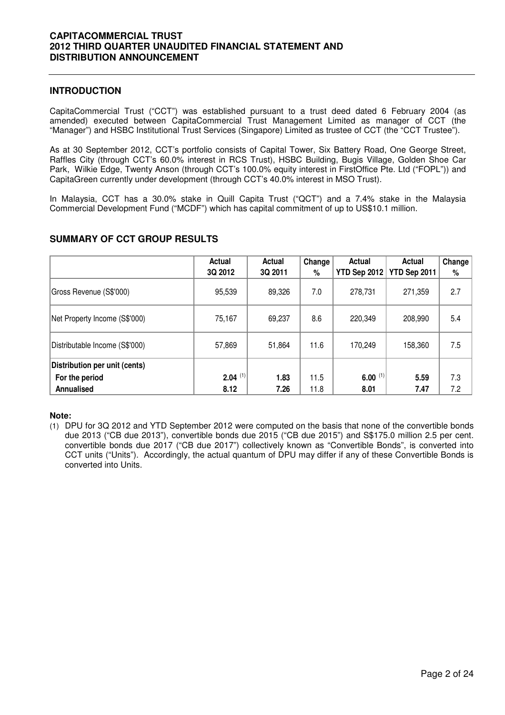### **INTRODUCTION**

CapitaCommercial Trust ("CCT") was established pursuant to a trust deed dated 6 February 2004 (as amended) executed between CapitaCommercial Trust Management Limited as manager of CCT (the "Manager") and HSBC Institutional Trust Services (Singapore) Limited as trustee of CCT (the "CCT Trustee").

As at 30 September 2012, CCT's portfolio consists of Capital Tower, Six Battery Road, One George Street, Raffles City (through CCT's 60.0% interest in RCS Trust), HSBC Building, Bugis Village, Golden Shoe Car Park, Wilkie Edge, Twenty Anson (through CCT's 100.0% equity interest in FirstOffice Pte. Ltd ("FOPL")) and CapitaGreen currently under development (through CCT's 40.0% interest in MSO Trust).

In Malaysia, CCT has a 30.0% stake in Quill Capita Trust ("QCT") and a 7.4% stake in the Malaysia Commercial Development Fund ("MCDF") which has capital commitment of up to US\$10.1 million.

|                                                 | Actual<br>3Q 2012     | Actual<br>3Q 2011 | Change<br>% | Actual<br><b>YTD Sep 2012</b> | Actual<br>YTD Sep 2011 | Change<br>% |
|-------------------------------------------------|-----------------------|-------------------|-------------|-------------------------------|------------------------|-------------|
| Gross Revenue (S\$'000)                         | 95,539                | 89,326            | 7.0         | 278,731                       | 271,359                | 2.7         |
| Net Property Income (S\$'000)                   | 75,167                | 69,237            | 8.6         | 220,349                       | 208,990                | 5.4         |
| Distributable Income (S\$'000)                  | 57,869                | 51,864            | 11.6        | 170,249                       | 158,360                | 7.5         |
| Distribution per unit (cents)<br>For the period | $2.04$ <sup>(1)</sup> | 1.83              | 11.5        | 6.00 $(1)$                    | 5.59                   | 7.3         |
| Annualised                                      | 8.12                  | 7.26              | 11.8        | 8.01                          | 7.47                   | 7.2         |

## **SUMMARY OF CCT GROUP RESULTS**

### **Note:**

(1) DPU for 3Q 2012 and YTD September 2012 were computed on the basis that none of the convertible bonds due 2013 ("CB due 2013"), convertible bonds due 2015 ("CB due 2015") and S\$175.0 million 2.5 per cent. convertible bonds due 2017 ("CB due 2017") collectively known as "Convertible Bonds", is converted into CCT units ("Units"). Accordingly, the actual quantum of DPU may differ if any of these Convertible Bonds is converted into Units.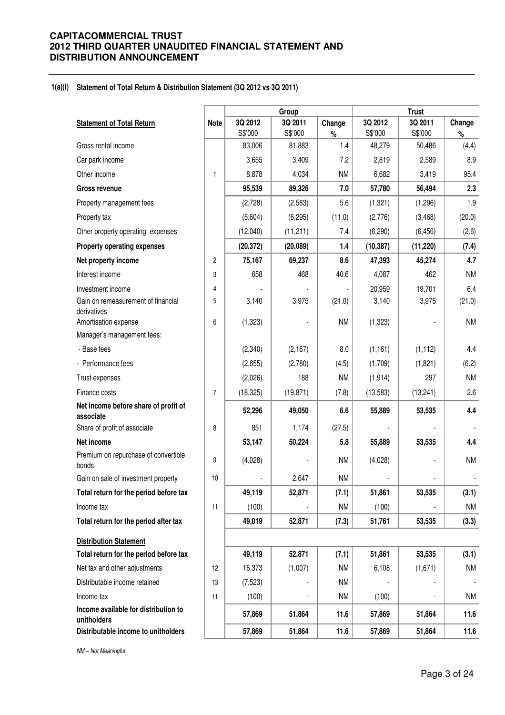#### **1(a)(i) Statement of Total Return & Distribution Statement (3Q 2012 vs 3Q 2011)**

|                                                     |                         |           | Group     |           |           | <b>Trust</b> |                          |
|-----------------------------------------------------|-------------------------|-----------|-----------|-----------|-----------|--------------|--------------------------|
| <b>Statement of Total Return</b>                    | <b>Note</b>             | 3Q 2012   | 3Q 2011   | Change    | 3Q 2012   | 3Q 2011      | Change                   |
|                                                     |                         | S\$'000   | S\$'000   | $\%$      | S\$'000   | S\$'000      | $\%$                     |
| Gross rental income                                 |                         | 83,006    | 81,883    | 1.4       | 48,279    | 50,486       | (4.4)                    |
| Car park income                                     |                         | 3,655     | 3,409     | 7.2       | 2,819     | 2,589        | 8.9                      |
| Other income                                        | 1                       | 8,878     | 4,034     | <b>NM</b> | 6,682     | 3,419        | 95.4                     |
| <b>Gross revenue</b>                                |                         | 95,539    | 89,326    | 7.0       | 57,780    | 56,494       | 2.3                      |
| Property management fees                            |                         | (2,728)   | (2,583)   | 5.6       | (1, 321)  | (1,296)      | 1.9                      |
| Property tax                                        |                         | (5,604)   | (6, 295)  | (11.0)    | (2,776)   | (3,468)      | (20.0)                   |
| Other property operating expenses                   |                         | (12,040)  | (11, 211) | 7.4       | (6, 290)  | (6, 456)     | (2.6)                    |
| <b>Property operating expenses</b>                  |                         | (20, 372) | (20,089)  | 1.4       | (10, 387) | (11, 220)    | (7.4)                    |
| Net property income                                 | $\overline{\mathbf{c}}$ | 75,167    | 69,237    | 8.6       | 47,393    | 45,274       | 4.7                      |
| Interest income                                     | 3                       | 658       | 468       | 40.6      | 4,087     | 462          | <b>NM</b>                |
| Investment income                                   | 4                       |           |           |           | 20,959    | 19,701       | 6.4                      |
| Gain on remeasurement of financial<br>derivatives   | 5                       | 3,140     | 3,975     | (21.0)    | 3,140     | 3,975        | (21.0)                   |
| Amortisation expense                                | 6                       | (1, 323)  |           | <b>NM</b> | (1, 323)  |              | <b>NM</b>                |
| Manager's management fees:                          |                         |           |           |           |           |              |                          |
| - Base fees                                         |                         | (2,340)   | (2,167)   | 8.0       | (1, 161)  | (1, 112)     | 4.4                      |
| - Performance fees                                  |                         | (2,655)   | (2,780)   | (4.5)     | (1,709)   | (1,821)      | (6.2)                    |
| Trust expenses                                      |                         | (2,026)   | 188       | <b>NM</b> | (1, 914)  | 297          | <b>NM</b>                |
| Finance costs                                       | $\overline{7}$          | (18, 325) | (19, 871) | (7.8)     | (13, 583) | (13, 241)    | 2.6                      |
| Net income before share of profit of<br>associate   |                         | 52,296    | 49,050    | 6.6       | 55,889    | 53,535       | 4.4                      |
| Share of profit of associate                        | 8                       | 851       | 1,174     | (27.5)    |           |              |                          |
| Net income                                          |                         | 53,147    | 50,224    | 5.8       | 55,889    | 53,535       | 4.4                      |
| Premium on repurchase of convertible<br>bonds       | 9                       | (4,028)   |           | <b>NM</b> | (4,028)   |              | <b>NM</b>                |
| Gain on sale of investment property                 | 10                      |           | 2,647     | <b>NM</b> |           |              |                          |
| Total return for the period before tax              |                         | 49,119    | 52,871    | (7.1)     | 51,861    | 53,535       | (3.1)                    |
| Income tax                                          | 11                      | (100)     |           | <b>NM</b> | (100)     |              | <b>NM</b>                |
| Total return for the period after tax               |                         | 49,019    | 52,871    | (7.3)     | 51,761    | 53,535       | (3.3)                    |
| <b>Distribution Statement</b>                       |                         |           |           |           |           |              |                          |
| Total return for the period before tax              |                         | 49,119    | 52,871    | (7.1)     | 51,861    | 53,535       | (3.1)                    |
| Net tax and other adjustments                       | 12                      | 16,373    | (1,007)   | <b>NM</b> | 6,108     | (1,671)      | <b>NM</b>                |
| Distributable income retained                       | 13                      | (7,523)   |           | <b>NM</b> |           |              | $\overline{\phantom{a}}$ |
| Income tax                                          | 11                      | (100)     |           | <b>NM</b> | (100)     |              | NM                       |
| Income available for distribution to<br>unitholders |                         | 57,869    | 51,864    | 11.6      | 57,869    | 51,864       | 11.6                     |
| Distributable income to unitholders                 |                         | 57,869    | 51,864    | 11.6      | 57,869    | 51,864       | 11.6                     |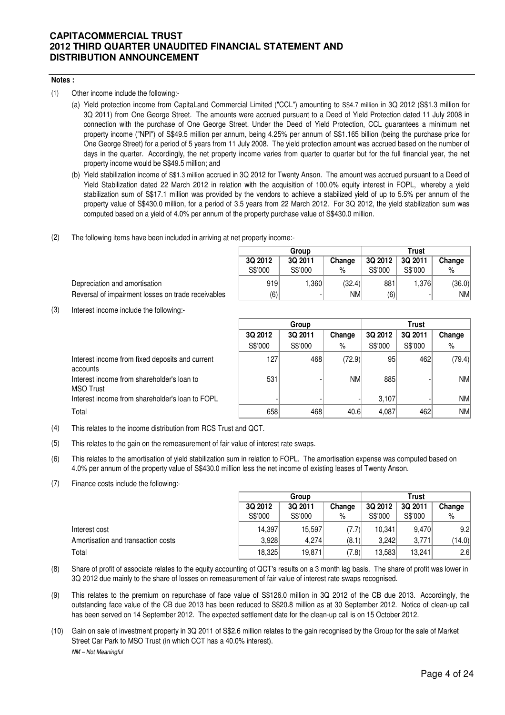### **Notes :**

(1) Other income include the following:-

- (a) Yield protection income from CapitaLand Commercial Limited ("CCL") amounting to S\$4.7 million in 3Q 2012 (S\$1.3 million for 3Q 2011) from One George Street. The amounts were accrued pursuant to a Deed of Yield Protection dated 11 July 2008 in connection with the purchase of One George Street. Under the Deed of Yield Protection, CCL guarantees a minimum net property income ("NPI") of S\$49.5 million per annum, being 4.25% per annum of S\$1.165 billion (being the purchase price for One George Street) for a period of 5 years from 11 July 2008. The yield protection amount was accrued based on the number of days in the quarter. Accordingly, the net property income varies from quarter to quarter but for the full financial year, the net property income would be S\$49.5 million; and
- (b) Yield stabilization income of S\$1.3 million accrued in 3Q 2012 for Twenty Anson. The amount was accrued pursuant to a Deed of Yield Stabilization dated 22 March 2012 in relation with the acquisition of 100.0% equity interest in FOPL, whereby a yield stabilization sum of S\$17.1 million was provided by the vendors to achieve a stabilized yield of up to 5.5% per annum of the property value of S\$430.0 million, for a period of 3.5 years from 22 March 2012. For 3Q 2012, the yield stabilization sum was computed based on a yield of 4.0% per annum of the property purchase value of S\$430.0 million.
- (2) The following items have been included in arriving at net property income:-

|         | Group   |        | Trust   |         |           |  |  |
|---------|---------|--------|---------|---------|-----------|--|--|
| 3Q 2012 | 3Q 2011 | Change | 3Q 2012 | 3Q 2011 | Change    |  |  |
| S\$'000 | S\$'000 | $\%$   | S\$'000 | S\$'000 | %         |  |  |
| 919     | 1,360   | (32.4) | 881     | 1,376   | (36.0)    |  |  |
| (6)     | -       | NMl    | 6)      |         | <b>NM</b> |  |  |

Reversal of impairment losses on trade receivables

(3) Interest income include the following:-

Depreciation and amortisation

|                                                             | Group<br><b>Trust</b> |         |           |         |         |           |
|-------------------------------------------------------------|-----------------------|---------|-----------|---------|---------|-----------|
|                                                             | 3Q 2012               | 3Q 2011 | Change    | 3Q 2012 | 3Q 2011 | Change    |
|                                                             | S\$'000               | S\$'000 | %         | S\$'000 | S\$'000 | %         |
| Interest income from fixed deposits and current<br>accounts | 127                   | 468     | (72.9)    | 95      | 462     | (79.4)    |
| Interest income from shareholder's loan to<br>MSO Trust     | 531                   |         | <b>NM</b> | 885     |         | NM        |
| Interest income from shareholder's loan to FOPL             |                       |         |           | 3.107   |         | <b>NM</b> |
| Total                                                       | 658                   | 468     | 40.6      | 4,087   | 462     | <b>NM</b> |

(4) This relates to the income distribution from RCS Trust and QCT.

(5) This relates to the gain on the remeasurement of fair value of interest rate swaps.

- (6) This relates to the amortisation of yield stabilization sum in relation to FOPL. The amortisation expense was computed based on 4.0% per annum of the property value of S\$430.0 million less the net income of existing leases of Twenty Anson.
- (7) Finance costs include the following:-

|                                    |         | Group   |        |         | Trust   |        |  |
|------------------------------------|---------|---------|--------|---------|---------|--------|--|
|                                    | 3Q 2012 | 3Q 2011 | Change | 3Q 2012 | 3Q 2011 | Change |  |
|                                    | S\$'000 | S\$'000 | %      | S\$'000 | S\$'000 | $\%$   |  |
| Interest cost                      | 14.397  | 15.597  | 7.7)   | 10.341  | 9.470   | 9.2    |  |
| Amortisation and transaction costs | 3.928   | 4.274   | (8.1)  | 3.242   | 3,771   | (14.0) |  |
| Total                              | 18,325  | 19,871  | (7.8)  | 13,583  | 13,241  | 2.6    |  |

- (8) Share of profit of associate relates to the equity accounting of QCT's results on a 3 month lag basis. The share of profit was lower in 3Q 2012 due mainly to the share of losses on remeasurement of fair value of interest rate swaps recognised.
- (9) This relates to the premium on repurchase of face value of S\$126.0 million in 3Q 2012 of the CB due 2013. Accordingly, the outstanding face value of the CB due 2013 has been reduced to S\$20.8 million as at 30 September 2012. Notice of clean-up call has been served on 14 September 2012. The expected settlement date for the clean-up call is on 15 October 2012.
- (10) Gain on sale of investment property in 3Q 2011 of S\$2.6 million relates to the gain recognised by the Group for the sale of Market Street Car Park to MSO Trust (in which CCT has a 40.0% interest). NM – Not Meaningful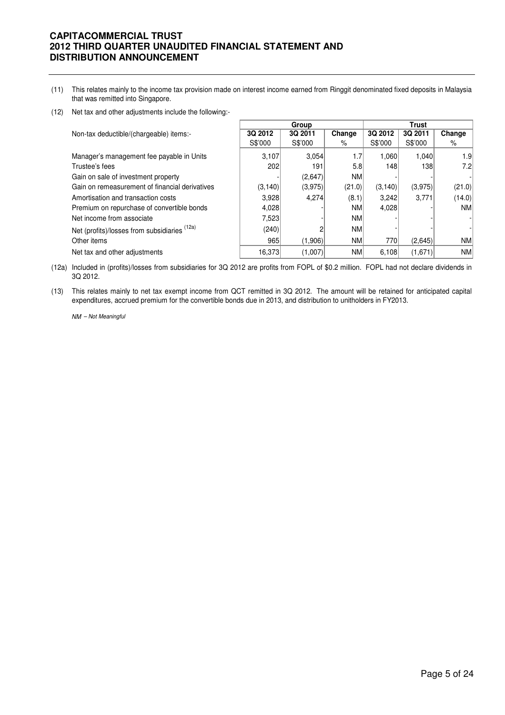- (11) This relates mainly to the income tax provision made on interest income earned from Ringgit denominated fixed deposits in Malaysia that was remitted into Singapore.
- (12) Net tax and other adjustments include the following:-

|                                                |          | Group   |           |         | <b>Trust</b> |           |
|------------------------------------------------|----------|---------|-----------|---------|--------------|-----------|
| Non-tax deductible/(chargeable) items:-        | 3Q 2012  | 3Q 2011 | Change    | 3Q 2012 | 3Q 2011      | Change    |
|                                                | S\$'000  | S\$'000 | %         | S\$'000 | S\$'000      | %         |
| Manager's management fee payable in Units      | 3.107    | 3.054   | 1.7       | 1.060   | 1.040        | 1.9       |
| Trustee's fees                                 | 202      | 191     | 5.8       | 148     | 138          | 7.2       |
| Gain on sale of investment property            |          | (2,647) | <b>NM</b> |         |              |           |
| Gain on remeasurement of financial derivatives | (3, 140) | (3,975) | (21.0)    | (3,140) | (3,975)      | (21.0)    |
| Amortisation and transaction costs             | 3.928    | 4.274   | (8.1)     | 3,242   | 3.771        | (14.0)    |
| Premium on repurchase of convertible bonds     | 4,028    |         | <b>NM</b> | 4,028   |              | NM        |
| Net income from associate                      | 7,523    |         | <b>NM</b> |         |              |           |
| Net (profits)/losses from subsidiaries (12a)   | (240)    |         | <b>NM</b> |         |              |           |
| Other items                                    | 965      | (1,906) | <b>NM</b> | 770     | (2,645)      | <b>NM</b> |
| Net tax and other adjustments                  | 16,373   | (1,007) | <b>NM</b> | 6,108   | (1,671)      | <b>NM</b> |

(12a) Included in (profits)/losses from subsidiaries for 3Q 2012 are profits from FOPL of \$0.2 million. FOPL had not declare dividends in 3Q 2012.

(13) This relates mainly to net tax exempt income from QCT remitted in 3Q 2012. The amount will be retained for anticipated capital expenditures, accrued premium for the convertible bonds due in 2013, and distribution to unitholders in FY2013.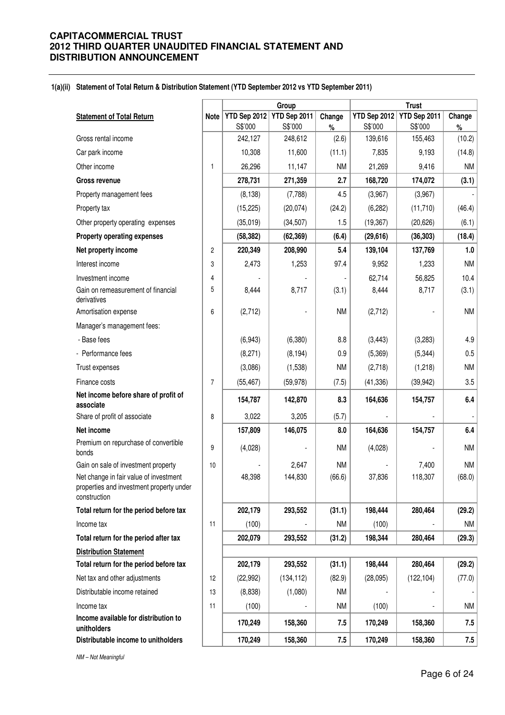#### **1(a)(ii) Statement of Total Return & Distribution Statement (YTD September 2012 vs YTD September 2011)**

|                                                                                                    |                | Group        |              |           | <b>Trust</b>        |              |           |
|----------------------------------------------------------------------------------------------------|----------------|--------------|--------------|-----------|---------------------|--------------|-----------|
| <b>Statement of Total Return</b>                                                                   | <b>Note</b>    | YTD Sep 2012 | YTD Sep 2011 | Change    | <b>YTD Sep 2012</b> | YTD Sep 2011 | Change    |
|                                                                                                    |                | S\$'000      | S\$'000      | %         | S\$'000             | S\$'000      | $\%$      |
| Gross rental income                                                                                |                | 242,127      | 248,612      | (2.6)     | 139,616             | 155,463      | (10.2)    |
| Car park income                                                                                    |                | 10,308       | 11,600       | (11.1)    | 7,835               | 9,193        | (14.8)    |
| Other income                                                                                       | $\mathbf{1}$   | 26,296       | 11,147       | <b>NM</b> | 21,269              | 9,416        | NM        |
| <b>Gross revenue</b>                                                                               |                | 278,731      | 271,359      | 2.7       | 168,720             | 174,072      | (3.1)     |
| Property management fees                                                                           |                | (8, 138)     | (7,788)      | 4.5       | (3,967)             | (3,967)      |           |
| Property tax                                                                                       |                | (15, 225)    | (20, 074)    | (24.2)    | (6, 282)            | (11, 710)    | (46.4)    |
| Other property operating expenses                                                                  |                | (35,019)     | (34, 507)    | 1.5       | (19, 367)           | (20, 626)    | (6.1)     |
| <b>Property operating expenses</b>                                                                 |                | (58, 382)    | (62, 369)    | (6.4)     | (29, 616)           | (36, 303)    | (18.4)    |
| Net property income                                                                                | $\overline{c}$ | 220,349      | 208,990      | 5.4       | 139,104             | 137,769      | 1.0       |
| Interest income                                                                                    | 3              | 2,473        | 1,253        | 97.4      | 9,952               | 1,233        | <b>NM</b> |
| Investment income                                                                                  | 4              |              |              |           | 62,714              | 56,825       | 10.4      |
| Gain on remeasurement of financial<br>derivatives                                                  | 5              | 8,444        | 8,717        | (3.1)     | 8,444               | 8,717        | (3.1)     |
| Amortisation expense                                                                               | 6              | (2,712)      |              | <b>NM</b> | (2,712)             |              | <b>NM</b> |
| Manager's management fees:                                                                         |                |              |              |           |                     |              |           |
| - Base fees                                                                                        |                | (6,943)      | (6, 380)     | 8.8       | (3, 443)            | (3,283)      | 4.9       |
| - Performance fees                                                                                 |                | (8,271)      | (8, 194)     | 0.9       | (5,369)             | (5, 344)     | 0.5       |
| Trust expenses                                                                                     |                | (3,086)      | (1,538)      | <b>NM</b> | (2,718)             | (1,218)      | <b>NM</b> |
| Finance costs                                                                                      | $\overline{7}$ | (55, 467)    | (59, 978)    | (7.5)     | (41, 336)           | (39, 942)    | 3.5       |
| Net income before share of profit of<br>associate                                                  |                | 154,787      | 142,870      | 8.3       | 164,636             | 154,757      | 6.4       |
| Share of profit of associate                                                                       | 8              | 3,022        | 3,205        | (5.7)     |                     |              |           |
| Net income                                                                                         |                | 157,809      | 146,075      | 8.0       | 164,636             | 154,757      | 6.4       |
| Premium on repurchase of convertible<br>bonds                                                      | 9              | (4,028)      |              | <b>NM</b> | (4,028)             |              | <b>NM</b> |
| Gain on sale of investment property                                                                | 10             |              | 2,647        | <b>NM</b> |                     | 7,400        | <b>NM</b> |
| Net change in fair value of investment<br>properties and investment property under<br>construction |                | 48,398       | 144,830      | (66.6)    | 37,836              | 118,307      | (68.0)    |
| Total return for the period before tax                                                             |                | 202,179      | 293,552      | (31.1)    | 198,444             | 280,464      | (29.2)    |
| Income tax                                                                                         | 11             | (100)        |              | <b>NM</b> | (100)               |              | NM        |
| Total return for the period after tax                                                              |                | 202,079      | 293,552      | (31.2)    | 198,344             | 280,464      | (29.3)    |
| <b>Distribution Statement</b>                                                                      |                |              |              |           |                     |              |           |
| Total return for the period before tax                                                             |                | 202,179      | 293,552      | (31.1)    | 198,444             | 280,464      | (29.2)    |
| Net tax and other adjustments                                                                      | 12             | (22, 992)    | (134, 112)   | (82.9)    | (28,095)            | (122, 104)   | (77.0)    |
| Distributable income retained                                                                      | 13             | (8,838)      | (1,080)      | <b>NM</b> |                     |              |           |
| Income tax                                                                                         | 11             | (100)        |              | <b>NM</b> | (100)               |              | ΝM        |
| Income available for distribution to<br>unitholders                                                |                | 170,249      | 158,360      | 7.5       | 170,249             | 158,360      | 7.5       |
| Distributable income to unitholders                                                                |                | 170,249      | 158,360      | 7.5       | 170,249             | 158,360      | 7.5       |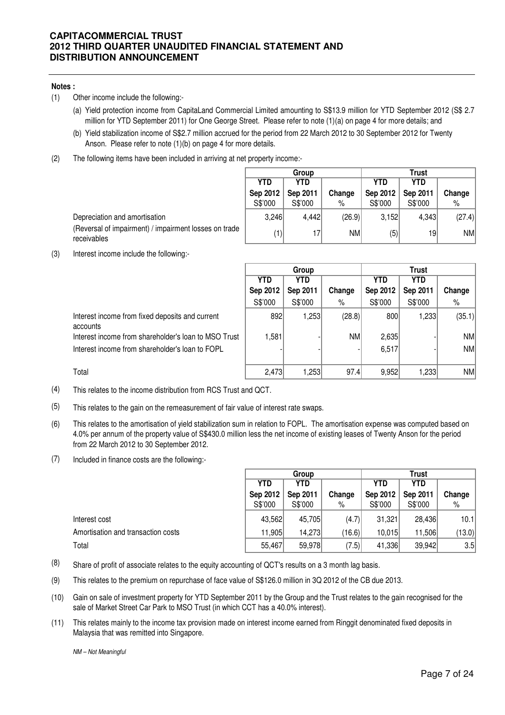#### **Notes :**

- (1) Other income include the following:-
	- (a) Yield protection income from CapitaLand Commercial Limited amounting to S\$13.9 million for YTD September 2012 (S\$ 2.7 million for YTD September 2011) for One George Street. Please refer to note (1)(a) on page 4 for more details; and
	- (b) Yield stabilization income of S\$2.7 million accrued for the period from 22 March 2012 to 30 September 2012 for Twenty Anson. Please refer to note (1)(b) on page 4 for more details.
- (2) The following items have been included in arriving at net property income:-

|                                                                      | <b>Trust</b><br>Group |            |           |            |          |           |
|----------------------------------------------------------------------|-----------------------|------------|-----------|------------|----------|-----------|
|                                                                      | YTD                   | <b>YTD</b> |           | <b>YTD</b> | YTD      |           |
|                                                                      | Sep 2012              | Sep 2011   | Change    | Sep 2012   | Sep 2011 | Change    |
|                                                                      | S\$'000               | S\$'000    | %         | S\$'000    | S\$'000  | %         |
| Depreciation and amortisation                                        | 3.246                 | 4.442      | (26.9)    | 3,152      | 4.343    | (27.4)    |
| (Reversal of impairment) / impairment losses on trade<br>receivables | 1)                    | 17         | <b>NM</b> | (5)        | 19       | <b>NM</b> |

(3) Interest income include the following:-

|                                                             |            | Group    |        |          | Trust    |           |  |
|-------------------------------------------------------------|------------|----------|--------|----------|----------|-----------|--|
|                                                             | <b>YTD</b> | YTD      |        | YTD      | YTD      |           |  |
|                                                             | Sep 2012   | Sep 2011 | Change | Sep 2012 | Sep 2011 | Change    |  |
|                                                             | S\$'000    | S\$'000  | %      | S\$'000  | S\$'000  | %         |  |
| Interest income from fixed deposits and current<br>accounts | 892        | ∣253. ا  | (28.8) | 800      | 1,233    | (35.1)    |  |
| Interest income from shareholder's loan to MSO Trust        | 1,581      |          | NM     | 2,635    |          | <b>NM</b> |  |
| Interest income from shareholder's loan to FOPL             |            |          |        | 6,517    |          | NM        |  |
| Total                                                       | 2,473      | 253. ا   | 97.4   | 9,952    | 233      | NM        |  |

(4) This relates to the income distribution from RCS Trust and QCT.

- (5) This relates to the gain on the remeasurement of fair value of interest rate swaps.
- (6) This relates to the amortisation of yield stabilization sum in relation to FOPL. The amortisation expense was computed based on 4.0% per annum of the property value of S\$430.0 million less the net income of existing leases of Twenty Anson for the period from 22 March 2012 to 30 September 2012.
- (7) Included in finance costs are the following:-

|                                    | Group    |            |        | Trust    |            |        |  |
|------------------------------------|----------|------------|--------|----------|------------|--------|--|
|                                    | YTD      | <b>YTD</b> |        | YTD      | <b>YTD</b> |        |  |
|                                    | Sep 2012 | Sep 2011   | Change | Sep 2012 | Sep 2011   | Change |  |
|                                    | S\$'000  | S\$'000    | %      | S\$'000  | S\$'000    | %      |  |
| Interest cost                      | 43,562   | 45,705     | (4.7)  | 31,321   | 28.436     | 10.1   |  |
| Amortisation and transaction costs | 11,905   | 14,273     | (16.6) | 10.015   | 11,506     | (13.0) |  |
| Total                              | 55,467   | 59,978     | (7.5)  | 41,336   | 39,942     | 3.5    |  |

- $(8)$  Share of profit of associate relates to the equity accounting of QCT's results on a 3 month lag basis.
- (9) This relates to the premium on repurchase of face value of S\$126.0 million in 3Q 2012 of the CB due 2013.
- (10) Gain on sale of investment property for YTD September 2011 by the Group and the Trust relates to the gain recognised for the sale of Market Street Car Park to MSO Trust (in which CCT has a 40.0% interest).
- (11) This relates mainly to the income tax provision made on interest income earned from Ringgit denominated fixed deposits in Malaysia that was remitted into Singapore.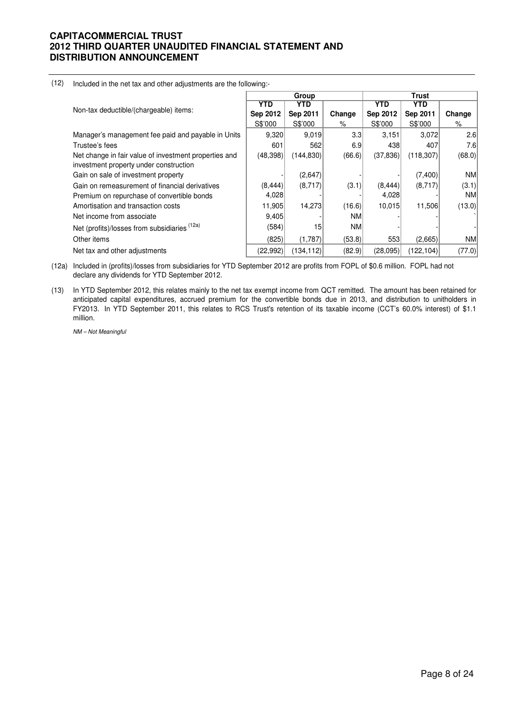|                                                                                                 |           | Group      |            | Trust      |            |           |  |
|-------------------------------------------------------------------------------------------------|-----------|------------|------------|------------|------------|-----------|--|
|                                                                                                 | YTD.      | YTD        |            | <b>YTD</b> | <b>YTD</b> |           |  |
| Non-tax deductible/(chargeable) items:                                                          | Sep 2012  | Sep 2011   | Change     | Sep 2012   | Sep 2011   | Change    |  |
|                                                                                                 | S\$'000   | S\$'000    | %          | S\$'000    | S\$'000    | %         |  |
| Manager's management fee paid and payable in Units                                              | 9,320     | 9.019      | 3.3        | 3,151      | 3,072      | 2.6       |  |
| Trustee's fees                                                                                  | 601       | 562        | 6.9        | 438        | 407        | 7.6       |  |
| Net change in fair value of investment properties and<br>investment property under construction | (48, 398) | (144, 830) | (66.6)     | (37, 836)  | (118,307)  | (68.0)    |  |
| Gain on sale of investment property                                                             |           | (2,647)    |            |            | (7,400)    | <b>NM</b> |  |
| Gain on remeasurement of financial derivatives                                                  | (8, 444)  | (8,717)    | (3.1)      | (8, 444)   | (8,717)    | (3.1)     |  |
| Premium on repurchase of convertible bonds                                                      | 4,028     |            |            | 4,028      |            | NM.       |  |
| Amortisation and transaction costs                                                              | 11,905    | 14,273     | (16.6)     | 10,015     | 11,506     | (13.0)    |  |
| Net income from associate                                                                       | 9,405     |            | <b>NM</b>  |            |            |           |  |
| Net (profits)/losses from subsidiaries (12a)                                                    | (584)     | 15         | <b>NMI</b> |            |            |           |  |
| Other items                                                                                     | (825)     | (1,787)    | (53.8)     | 553        | (2,665)    | NM.       |  |
| Net tax and other adjustments                                                                   | (22, 992) | (134, 112) | (82.9)     | (28,095)   | (122, 104) | (77.0)    |  |

#### (12) Included in the net tax and other adjustments are the following:-

(12a) Included in (profits)/losses from subsidiaries for YTD September 2012 are profits from FOPL of \$0.6 million. FOPL had not declare any dividends for YTD September 2012.

(13) In YTD September 2012, this relates mainly to the net tax exempt income from QCT remitted. The amount has been retained for anticipated capital expenditures, accrued premium for the convertible bonds due in 2013, and distribution to unitholders in FY2013. In YTD September 2011, this relates to RCS Trust's retention of its taxable income (CCT's 60.0% interest) of \$1.1 million.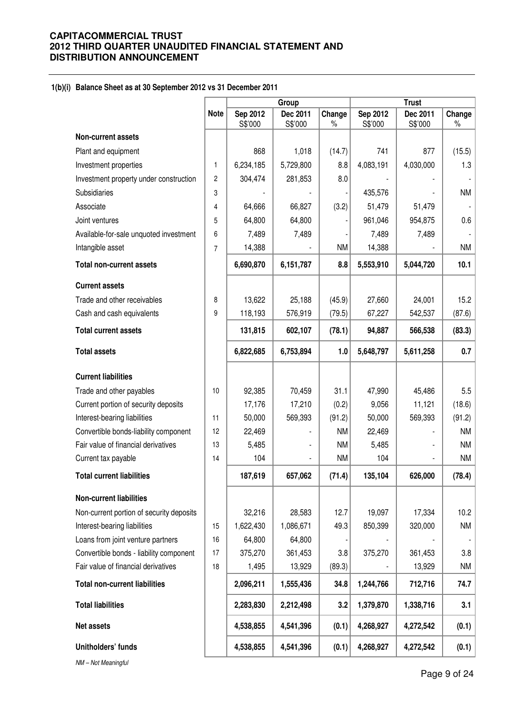#### **1(b)(i) Balance Sheet as at 30 September 2012 vs 31 December 2011**

|                                          |                |                     | Group               |                |                     | <b>Trust</b>        |                |
|------------------------------------------|----------------|---------------------|---------------------|----------------|---------------------|---------------------|----------------|
|                                          | <b>Note</b>    | Sep 2012<br>S\$'000 | Dec 2011<br>S\$'000 | Change<br>$\%$ | Sep 2012<br>S\$'000 | Dec 2011<br>S\$'000 | Change<br>$\%$ |
| <b>Non-current assets</b>                |                |                     |                     |                |                     |                     |                |
| Plant and equipment                      |                | 868                 | 1,018               | (14.7)         | 741                 | 877                 | (15.5)         |
| Investment properties                    | 1              | 6,234,185           | 5,729,800           | 8.8            | 4,083,191           | 4,030,000           | 1.3            |
| Investment property under construction   | $\overline{c}$ | 304,474             | 281,853             | 8.0            |                     |                     |                |
| Subsidiaries                             | 3              |                     |                     |                | 435,576             |                     | <b>NM</b>      |
| Associate                                | 4              | 64,666              | 66,827              | (3.2)          | 51,479              | 51,479              |                |
| Joint ventures                           | 5              | 64,800              | 64,800              |                | 961,046             | 954,875             | 0.6            |
| Available-for-sale unquoted investment   | 6              | 7,489               | 7,489               |                | 7,489               | 7,489               |                |
| Intangible asset                         | 7              | 14,388              |                     | <b>NM</b>      | 14,388              |                     | <b>NM</b>      |
| <b>Total non-current assets</b>          |                | 6,690,870           | 6,151,787           | 8.8            | 5,553,910           | 5,044,720           | 10.1           |
| <b>Current assets</b>                    |                |                     |                     |                |                     |                     |                |
| Trade and other receivables              | 8              | 13,622              | 25,188              | (45.9)         | 27,660              | 24,001              | 15.2           |
| Cash and cash equivalents                | 9              | 118,193             | 576,919             | (79.5)         | 67,227              | 542,537             | (87.6)         |
| <b>Total current assets</b>              |                | 131,815             | 602,107             | (78.1)         | 94,887              | 566,538             | (83.3)         |
| <b>Total assets</b>                      |                | 6,822,685           | 6,753,894           | 1.0            | 5,648,797           | 5,611,258           | 0.7            |
| <b>Current liabilities</b>               |                |                     |                     |                |                     |                     |                |
| Trade and other payables                 | 10             | 92,385              | 70,459              | 31.1           | 47,990              | 45,486              | 5.5            |
| Current portion of security deposits     |                | 17,176              | 17,210              | (0.2)          | 9,056               | 11,121              | (18.6)         |
| Interest-bearing liabilities             | 11             | 50,000              | 569,393             | (91.2)         | 50,000              | 569,393             | (91.2)         |
| Convertible bonds-liability component    | 12             | 22,469              |                     | <b>NM</b>      | 22,469              |                     | <b>NM</b>      |
| Fair value of financial derivatives      | 13             | 5,485               |                     | <b>NM</b>      | 5,485               |                     | <b>NM</b>      |
| Current tax payable                      | 14             | 104                 |                     | <b>NM</b>      | 104                 |                     | NM             |
| <b>Total current liabilities</b>         |                | 187,619             | 657,062             | (71.4)         | 135,104             | 626,000             | (78.4)         |
| <b>Non-current liabilities</b>           |                |                     |                     |                |                     |                     |                |
| Non-current portion of security deposits |                | 32,216              | 28,583              | 12.7           | 19,097              | 17,334              | 10.2           |
| Interest-bearing liabilities             | 15             | 1,622,430           | 1,086,671           | 49.3           | 850,399             | 320,000             | <b>NM</b>      |
| Loans from joint venture partners        | 16             | 64,800              | 64,800              |                |                     |                     |                |
| Convertible bonds - liability component  | 17             | 375,270             | 361,453             | 3.8            | 375,270             | 361,453             | 3.8            |
| Fair value of financial derivatives      | 18             | 1,495               | 13,929              | (89.3)         |                     | 13,929              | NM             |
| <b>Total non-current liabilities</b>     |                | 2,096,211           | 1,555,436           | 34.8           | 1,244,766           | 712,716             | 74.7           |
| <b>Total liabilities</b>                 |                | 2,283,830           | 2,212,498           | 3.2            | 1,379,870           | 1,338,716           | 3.1            |
| Net assets                               |                | 4,538,855           | 4,541,396           | (0.1)          | 4,268,927           | 4,272,542           | (0.1)          |
| Unitholders' funds                       |                | 4,538,855           | 4,541,396           | (0.1)          | 4,268,927           | 4,272,542           | (0.1)          |
|                                          |                |                     |                     |                |                     |                     |                |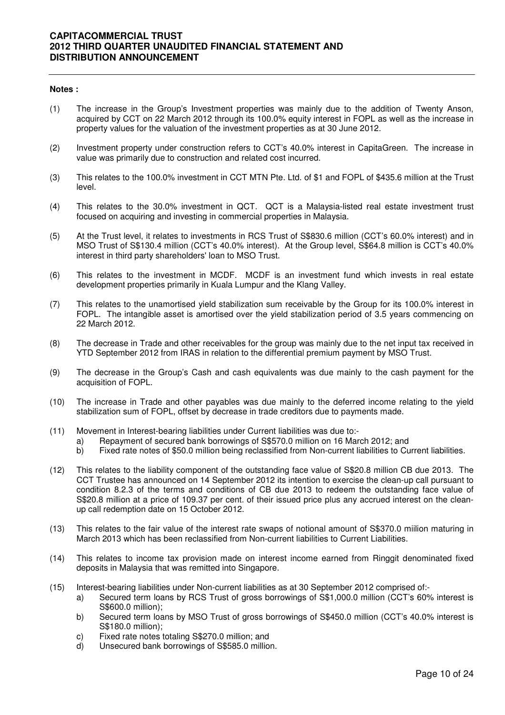#### **Notes :**

- (1) The increase in the Group's Investment properties was mainly due to the addition of Twenty Anson, acquired by CCT on 22 March 2012 through its 100.0% equity interest in FOPL as well as the increase in property values for the valuation of the investment properties as at 30 June 2012.
- (2) Investment property under construction refers to CCT's 40.0% interest in CapitaGreen. The increase in value was primarily due to construction and related cost incurred.
- (3) This relates to the 100.0% investment in CCT MTN Pte. Ltd. of \$1 and FOPL of \$435.6 million at the Trust level.
- (4) This relates to the 30.0% investment in QCT. QCT is a Malaysia-listed real estate investment trust focused on acquiring and investing in commercial properties in Malaysia.
- (5) At the Trust level, it relates to investments in RCS Trust of S\$830.6 million (CCT's 60.0% interest) and in MSO Trust of S\$130.4 million (CCT's 40.0% interest). At the Group level, S\$64.8 million is CCT's 40.0% interest in third party shareholders' loan to MSO Trust.
- (6) This relates to the investment in MCDF. MCDF is an investment fund which invests in real estate development properties primarily in Kuala Lumpur and the Klang Valley.
- (7) This relates to the unamortised yield stabilization sum receivable by the Group for its 100.0% interest in FOPL. The intangible asset is amortised over the yield stabilization period of 3.5 years commencing on 22 March 2012.
- (8) The decrease in Trade and other receivables for the group was mainly due to the net input tax received in YTD September 2012 from IRAS in relation to the differential premium payment by MSO Trust.
- (9) The decrease in the Group's Cash and cash equivalents was due mainly to the cash payment for the acquisition of FOPL.
- (10) The increase in Trade and other payables was due mainly to the deferred income relating to the yield stabilization sum of FOPL, offset by decrease in trade creditors due to payments made.
- (11) Movement in Interest-bearing liabilities under Current liabilities was due to:
	- a) Repayment of secured bank borrowings of S\$570.0 million on 16 March 2012; and
	- b) Fixed rate notes of \$50.0 million being reclassified from Non-current liabilities to Current liabilities.
- (12) This relates to the liability component of the outstanding face value of S\$20.8 million CB due 2013. The CCT Trustee has announced on 14 September 2012 its intention to exercise the clean-up call pursuant to condition 8.2.3 of the terms and conditions of CB due 2013 to redeem the outstanding face value of S\$20.8 million at a price of 109.37 per cent. of their issued price plus any accrued interest on the cleanup call redemption date on 15 October 2012.
- (13) This relates to the fair value of the interest rate swaps of notional amount of S\$370.0 miilion maturing in March 2013 which has been reclassified from Non-current liabilities to Current Liabilities.
- (14) This relates to income tax provision made on interest income earned from Ringgit denominated fixed deposits in Malaysia that was remitted into Singapore.
- (15) Interest-bearing liabilities under Non-current liabilities as at 30 September 2012 comprised of:
	- a) Secured term loans by RCS Trust of gross borrowings of S\$1,000.0 million (CCT's 60% interest is S\$600.0 million);
	- b) Secured term loans by MSO Trust of gross borrowings of S\$450.0 million (CCT's 40.0% interest is S\$180.0 million);
	- c) Fixed rate notes totaling S\$270.0 million; and
	- d) Unsecured bank borrowings of S\$585.0 million.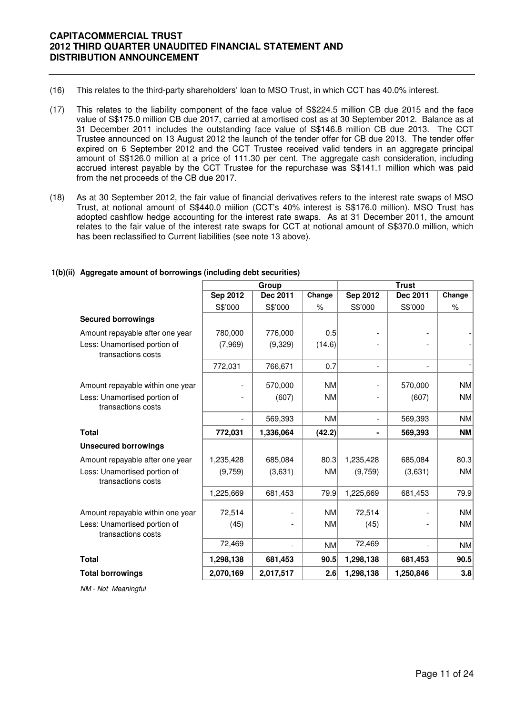- (16) This relates to the third-party shareholders' loan to MSO Trust, in which CCT has 40.0% interest.
- (17) This relates to the liability component of the face value of S\$224.5 million CB due 2015 and the face value of S\$175.0 million CB due 2017, carried at amortised cost as at 30 September 2012. Balance as at 31 December 2011 includes the outstanding face value of S\$146.8 million CB due 2013. The CCT Trustee announced on 13 August 2012 the launch of the tender offer for CB due 2013. The tender offer expired on 6 September 2012 and the CCT Trustee received valid tenders in an aggregate principal amount of S\$126.0 million at a price of 111.30 per cent. The aggregate cash consideration, including accrued interest payable by the CCT Trustee for the repurchase was S\$141.1 million which was paid from the net proceeds of the CB due 2017.
- (18) As at 30 September 2012, the fair value of financial derivatives refers to the interest rate swaps of MSO Trust, at notional amount of S\$440.0 miilion (CCT's 40% interest is S\$176.0 million). MSO Trust has adopted cashflow hedge accounting for the interest rate swaps. As at 31 December 2011, the amount relates to the fair value of the interest rate swaps for CCT at notional amount of S\$370.0 million, which has been reclassified to Current liabilities (see note 13 above).

|                                                    |                 | Group                    |           | <b>Trust</b>    |                          |           |
|----------------------------------------------------|-----------------|--------------------------|-----------|-----------------|--------------------------|-----------|
|                                                    | <b>Sep 2012</b> | Dec 2011                 | Change    | <b>Sep 2012</b> | Dec 2011                 | Change    |
|                                                    | S\$'000         | S\$'000                  | %         | S\$'000         | S\$'000                  | $\%$      |
| <b>Secured borrowings</b>                          |                 |                          |           |                 |                          |           |
| Amount repayable after one year                    | 780,000         | 776,000                  | 0.5       |                 |                          |           |
| Less: Unamortised portion of<br>transactions costs | (7,969)         | (9,329)                  | (14.6)    |                 |                          |           |
|                                                    | 772,031         | 766,671                  | 0.7       | $\blacksquare$  | $\overline{\phantom{a}}$ |           |
| Amount repayable within one year                   |                 | 570,000                  | <b>NM</b> |                 | 570,000                  | NM        |
| Less: Unamortised portion of<br>transactions costs |                 | (607)                    | <b>NM</b> |                 | (607)                    | <b>NM</b> |
|                                                    |                 | 569,393                  | <b>NM</b> | $\blacksquare$  | 569,393                  | <b>NM</b> |
| <b>Total</b>                                       | 772,031         | 1,336,064                | (42.2)    |                 | 569,393                  | NM        |
| <b>Unsecured borrowings</b>                        |                 |                          |           |                 |                          |           |
| Amount repayable after one year                    | 1,235,428       | 685,084                  | 80.3      | 1,235,428       | 685,084                  | 80.3      |
| Less: Unamortised portion of<br>transactions costs | (9,759)         | (3,631)                  | <b>NM</b> | (9,759)         | (3,631)                  | NM        |
|                                                    | 1,225,669       | 681,453                  | 79.9      | 1,225,669       | 681,453                  | 79.9      |
| Amount repayable within one year                   | 72,514          | $\overline{\phantom{0}}$ | <b>NM</b> | 72,514          |                          | <b>NM</b> |
| Less: Unamortised portion of<br>transactions costs | (45)            |                          | <b>NM</b> | (45)            | -                        | NM        |
|                                                    | 72,469          |                          | <b>NM</b> | 72,469          |                          | NM        |
| <b>Total</b>                                       | 1,298,138       | 681,453                  | 90.5      | 1,298,138       | 681,453                  | 90.5      |
| <b>Total borrowings</b>                            | 2,070,169       | 2,017,517                | 2.6       | 1,298,138       | 1,250,846                | 3.8       |

#### **1(b)(ii) Aggregate amount of borrowings (including debt securities)**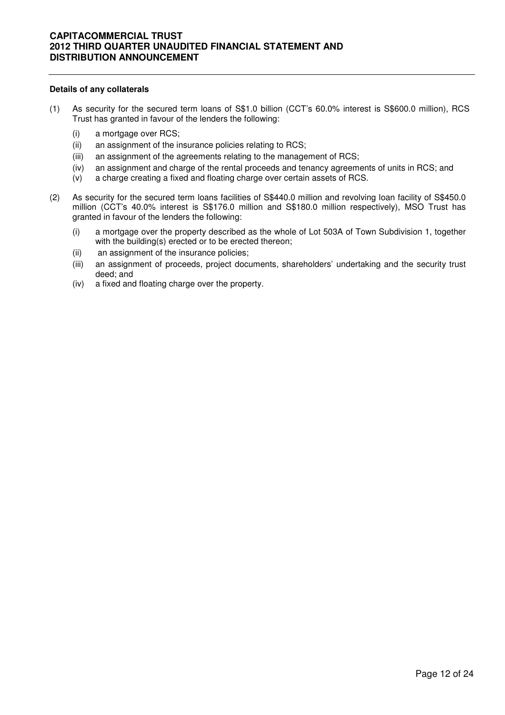#### **Details of any collaterals**

- (1) As security for the secured term loans of S\$1.0 billion (CCT's 60.0% interest is S\$600.0 million), RCS Trust has granted in favour of the lenders the following:
	- (i) a mortgage over RCS;
	- (ii) an assignment of the insurance policies relating to RCS;
	- (iii) an assignment of the agreements relating to the management of RCS;
	- (iv) an assignment and charge of the rental proceeds and tenancy agreements of units in RCS; and
	- (v) a charge creating a fixed and floating charge over certain assets of RCS.
- (2) As security for the secured term loans facilities of S\$440.0 million and revolving loan facility of S\$450.0 million (CCT's 40.0% interest is S\$176.0 million and S\$180.0 million respectively), MSO Trust has granted in favour of the lenders the following:
	- (i) a mortgage over the property described as the whole of Lot 503A of Town Subdivision 1, together with the building(s) erected or to be erected thereon;
	- (ii) an assignment of the insurance policies;
	- (iii) an assignment of proceeds, project documents, shareholders' undertaking and the security trust deed; and
	- (iv) a fixed and floating charge over the property.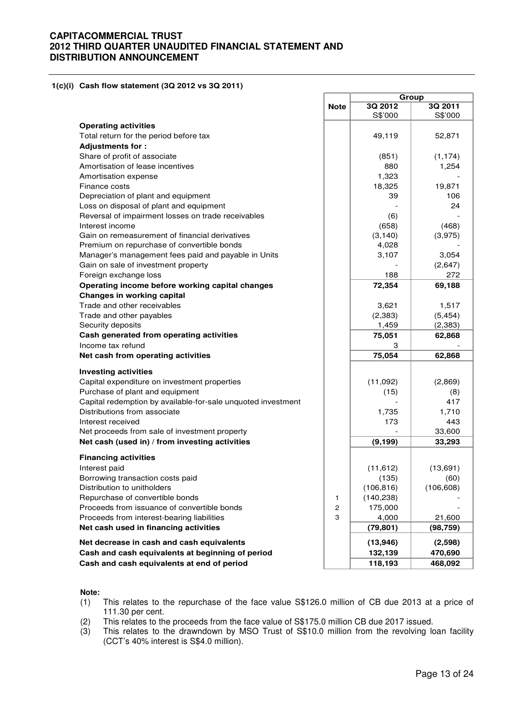**1(c)(i) Cash flow statement (3Q 2012 vs 3Q 2011)** 

|                                                                                |                                |                       | Group      |
|--------------------------------------------------------------------------------|--------------------------------|-----------------------|------------|
|                                                                                | <b>Note</b>                    | 3Q 2012               | 3Q 2011    |
|                                                                                |                                | S\$'000               | S\$'000    |
| <b>Operating activities</b>                                                    |                                |                       |            |
| Total return for the period before tax                                         |                                | 49,119                | 52,871     |
| <b>Adjustments for:</b>                                                        |                                |                       |            |
| Share of profit of associate                                                   |                                | (851)                 | (1, 174)   |
| Amortisation of lease incentives                                               |                                | 880                   | 1,254      |
| Amortisation expense                                                           |                                | 1,323                 |            |
| Finance costs                                                                  |                                | 18,325                | 19,871     |
| Depreciation of plant and equipment                                            |                                | 39                    | 106        |
| Loss on disposal of plant and equipment                                        |                                |                       | 24         |
| Reversal of impairment losses on trade receivables                             |                                | (6)                   |            |
| Interest income                                                                |                                | (658)                 | (468)      |
| Gain on remeasurement of financial derivatives                                 |                                | (3, 140)              | (3,975)    |
| Premium on repurchase of convertible bonds                                     |                                | 4,028                 |            |
| Manager's management fees paid and payable in Units                            |                                | 3,107                 | 3,054      |
| Gain on sale of investment property                                            |                                |                       | (2,647)    |
| Foreign exchange loss                                                          |                                | 188                   | 272        |
| Operating income before working capital changes                                |                                | 72,354                | 69,188     |
| <b>Changes in working capital</b>                                              |                                |                       |            |
| Trade and other receivables                                                    |                                | 3,621                 | 1,517      |
| Trade and other payables                                                       |                                | (2,383)               | (5, 454)   |
| Security deposits                                                              |                                | 1,459                 | (2, 383)   |
| Cash generated from operating activities                                       |                                | 75,051                | 62,868     |
| Income tax refund                                                              |                                | 3                     |            |
| Net cash from operating activities                                             |                                | 75,054                | 62,868     |
|                                                                                |                                |                       |            |
| <b>Investing activities</b>                                                    |                                |                       |            |
| Capital expenditure on investment properties                                   |                                | (11,092)              | (2,869)    |
| Purchase of plant and equipment                                                |                                | (15)                  | (8)        |
| Capital redemption by available-for-sale unquoted investment                   |                                |                       | 417        |
| Distributions from associate                                                   |                                | 1,735                 | 1,710      |
| Interest received                                                              |                                | 173                   | 443        |
| Net proceeds from sale of investment property                                  |                                |                       | 33,600     |
| Net cash (used in) / from investing activities                                 |                                | (9, 199)              | 33,293     |
| <b>Financing activities</b>                                                    |                                |                       |            |
| Interest paid                                                                  |                                |                       | (13,691)   |
|                                                                                |                                | (11, 612)<br>(135)    | (60)       |
| Borrowing transaction costs paid<br>Distribution to unitholders                |                                | (106, 816)            | (106, 608) |
|                                                                                |                                |                       |            |
| Repurchase of convertible bonds<br>Proceeds from issuance of convertible bonds | $\mathbf{1}$<br>$\overline{c}$ | (140, 238)<br>175,000 |            |
| Proceeds from interest-bearing liabilities                                     | 3                              | 4,000                 | 21,600     |
| Net cash used in financing activities                                          |                                | (79, 801)             |            |
|                                                                                |                                |                       | (98, 759)  |
| Net decrease in cash and cash equivalents                                      |                                | (13, 946)             | (2,598)    |
| Cash and cash equivalents at beginning of period                               |                                | 132,139               | 470,690    |
| Cash and cash equivalents at end of period                                     |                                | 118,193               | 468,092    |

#### **Note:**

- (1) This relates to the repurchase of the face value S\$126.0 million of CB due 2013 at a price of 111.30 per cent.
- (2) This relates to the proceeds from the face value of S\$175.0 million CB due 2017 issued.
- $(3)$  This relates to the drawndown by MSO Trust of S\$10.0 million from the revolving loan facility (CCT's 40% interest is S\$4.0 million).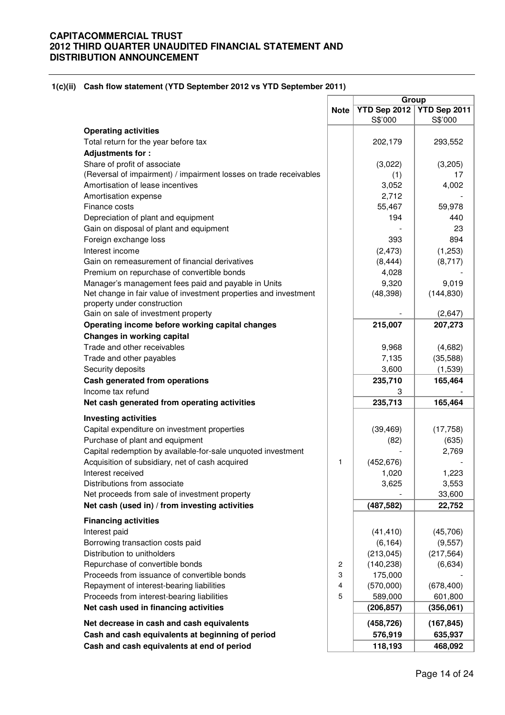#### **1(c)(ii) Cash flow statement (YTD September 2012 vs YTD September 2011)**

|                                                                   |             |                         | Group                   |  |
|-------------------------------------------------------------------|-------------|-------------------------|-------------------------|--|
|                                                                   | <b>Note</b> | YTD Sep 2012<br>S\$'000 | YTD Sep 2011<br>S\$'000 |  |
| <b>Operating activities</b>                                       |             |                         |                         |  |
| Total return for the year before tax                              |             | 202,179                 | 293,552                 |  |
| <b>Adjustments for:</b>                                           |             |                         |                         |  |
| Share of profit of associate                                      |             | (3,022)                 | (3,205)                 |  |
| (Reversal of impairment) / impairment losses on trade receivables |             | (1)                     | 17                      |  |
| Amortisation of lease incentives                                  |             | 3,052                   | 4,002                   |  |
| Amortisation expense                                              |             | 2,712                   |                         |  |
| Finance costs                                                     |             | 55,467                  | 59,978                  |  |
| Depreciation of plant and equipment                               |             | 194                     | 440                     |  |
| Gain on disposal of plant and equipment                           |             |                         | 23                      |  |
| Foreign exchange loss                                             |             | 393                     | 894                     |  |
| Interest income                                                   |             | (2, 473)                | (1,253)                 |  |
| Gain on remeasurement of financial derivatives                    |             | (8, 444)                | (8,717)                 |  |
| Premium on repurchase of convertible bonds                        |             | 4,028                   |                         |  |
| Manager's management fees paid and payable in Units               |             | 9,320                   | 9,019                   |  |
| Net change in fair value of investment properties and investment  |             | (48, 398)               | (144, 830)              |  |
| property under construction                                       |             |                         |                         |  |
| Gain on sale of investment property                               |             |                         | (2,647)                 |  |
| Operating income before working capital changes                   |             | 215,007                 | 207,273                 |  |
| <b>Changes in working capital</b>                                 |             |                         |                         |  |
| Trade and other receivables                                       |             | 9,968                   | (4,682)                 |  |
|                                                                   |             |                         |                         |  |
| Trade and other payables                                          |             | 7,135                   | (35,588)                |  |
| Security deposits                                                 |             | 3,600                   | (1,539)                 |  |
| Cash generated from operations                                    |             | 235,710                 | 165,464                 |  |
| Income tax refund                                                 |             | 3                       |                         |  |
| Net cash generated from operating activities                      |             | 235,713                 | 165,464                 |  |
| <b>Investing activities</b>                                       |             |                         |                         |  |
| Capital expenditure on investment properties                      |             | (39, 469)               | (17, 758)               |  |
| Purchase of plant and equipment                                   |             | (82)                    | (635)                   |  |
| Capital redemption by available-for-sale unquoted investment      |             |                         | 2,769                   |  |
| Acquisition of subsidiary, net of cash acquired                   | 1           | (452, 676)              |                         |  |
| Interest received                                                 |             | 1,020                   | 1,223                   |  |
| Distributions from associate                                      |             | 3,625                   | 3,553                   |  |
| Net proceeds from sale of investment property                     |             |                         | 33,600                  |  |
| Net cash (used in) / from investing activities                    |             | (487, 582)              | 22,752                  |  |
| <b>Financing activities</b>                                       |             |                         |                         |  |
| Interest paid                                                     |             | (41, 410)               | (45, 706)               |  |
| Borrowing transaction costs paid                                  |             | (6, 164)                | (9, 557)                |  |
| Distribution to unitholders                                       |             | (213, 045)              | (217, 564)              |  |
| Repurchase of convertible bonds                                   | 2           | (140, 238)              | (6,634)                 |  |
| Proceeds from issuance of convertible bonds                       | 3           | 175,000                 |                         |  |
| Repayment of interest-bearing liabilities                         | 4           | (570,000)               | (678, 400)              |  |
| Proceeds from interest-bearing liabilities                        | 5           | 589,000                 | 601,800                 |  |
| Net cash used in financing activities                             |             | (206, 857)              | (356,061)               |  |
| Net decrease in cash and cash equivalents                         |             | (458, 726)              | (167, 845)              |  |
| Cash and cash equivalents at beginning of period                  |             | 576,919                 | 635,937                 |  |
| Cash and cash equivalents at end of period                        |             | 118,193                 | 468,092                 |  |
|                                                                   |             |                         |                         |  |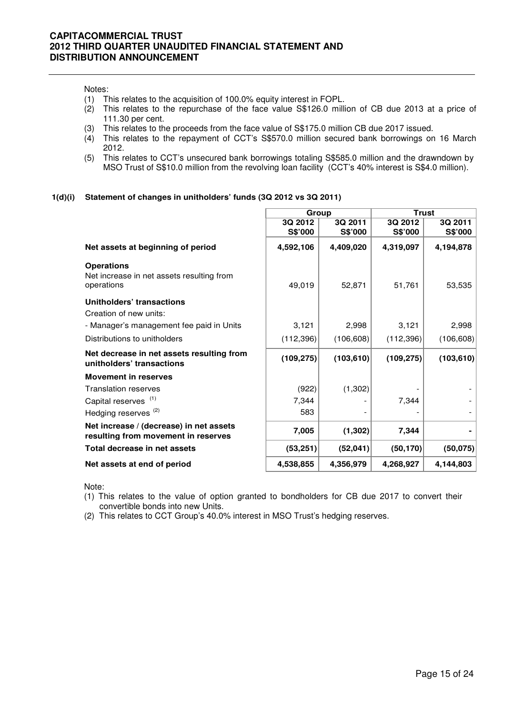#### Notes:

- 
- (1) This relates to the acquisition of 100.0% equity interest in FOPL.<br>(2) This relates to the repurchase of the face value S\$126.0 mill This relates to the repurchase of the face value S\$126.0 million of CB due 2013 at a price of 111.30 per cent.
- (3) This relates to the proceeds from the face value of S\$175.0 million CB due 2017 issued.
- (4) This relates to the repayment of CCT's S\$570.0 million secured bank borrowings on 16 March 2012.
- (5) This relates to CCT's unsecured bank borrowings totaling S\$585.0 million and the drawndown by MSO Trust of S\$10.0 million from the revolving loan facility (CCT's 40% interest is S\$4.0 million).

#### **1(d)(i) Statement of changes in unitholders' funds (3Q 2012 vs 3Q 2011)**

|                                                                                | Group      |            | <b>Trust</b> |            |
|--------------------------------------------------------------------------------|------------|------------|--------------|------------|
|                                                                                | 3Q 2012    | 3Q 2011    | 3Q 2012      | 3Q 2011    |
|                                                                                | S\$'000    | S\$'000    | S\$'000      | S\$'000    |
| Net assets at beginning of period                                              | 4,592,106  | 4,409,020  | 4,319,097    | 4,194,878  |
| <b>Operations</b><br>Net increase in net assets resulting from<br>operations   | 49,019     | 52,871     | 51,761       | 53,535     |
| Unitholders' transactions<br>Creation of new units:                            |            |            |              |            |
| - Manager's management fee paid in Units                                       | 3,121      | 2,998      | 3,121        | 2,998      |
| Distributions to unitholders                                                   | (112, 396) | (106, 608) | (112, 396)   | (106, 608) |
| Net decrease in net assets resulting from<br>unitholders' transactions         | (109, 275) | (103, 610) | (109, 275)   | (103, 610) |
| <b>Movement in reserves</b>                                                    |            |            |              |            |
| <b>Translation reserves</b>                                                    | (922)      | (1,302)    |              |            |
| Capital reserves <sup>(1)</sup>                                                | 7,344      |            | 7,344        |            |
| Hedging reserves <sup>(2)</sup>                                                | 583        |            |              |            |
| Net increase / (decrease) in net assets<br>resulting from movement in reserves | 7,005      | (1, 302)   | 7,344        |            |
| Total decrease in net assets                                                   | (53, 251)  | (52,041)   | (50, 170)    | (50, 075)  |
| Net assets at end of period                                                    | 4,538,855  | 4,356,979  | 4,268,927    | 4,144,803  |

Note:

- (1) This relates to the value of option granted to bondholders for CB due 2017 to convert their convertible bonds into new Units.
- (2) This relates to CCT Group's 40.0% interest in MSO Trust's hedging reserves.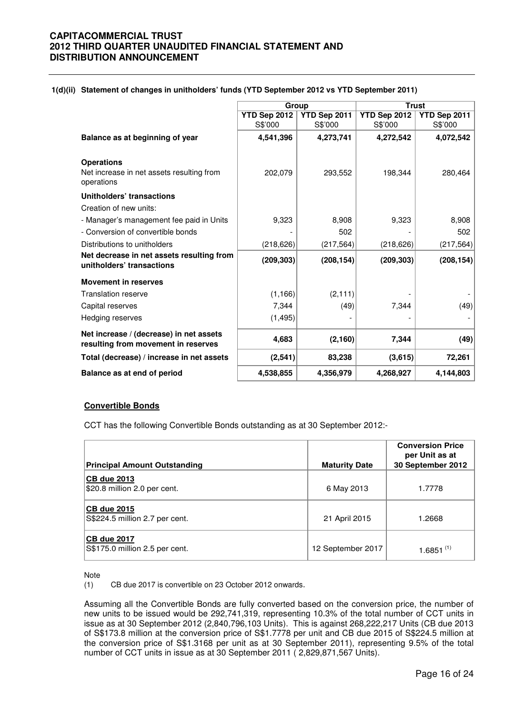| 1(d)(ii) Statement of changes in unitholders' funds (YTD September 2012 vs YTD September 2011) |  |
|------------------------------------------------------------------------------------------------|--|
|------------------------------------------------------------------------------------------------|--|

|                                           |              | Group        | <b>Trust</b> |              |
|-------------------------------------------|--------------|--------------|--------------|--------------|
|                                           | YTD Sep 2012 | YTD Sep 2011 | YTD Sep 2012 | YTD Sep 2011 |
|                                           | S\$'000      | S\$'000      | S\$'000      | S\$'000      |
| Balance as at beginning of year           | 4,541,396    | 4,273,741    | 4,272,542    | 4,072,542    |
|                                           |              |              |              |              |
| <b>Operations</b>                         |              |              |              |              |
| Net increase in net assets resulting from | 202,079      | 293,552      | 198,344      | 280,464      |
| operations                                |              |              |              |              |
| Unitholders' transactions                 |              |              |              |              |
| Creation of new units:                    |              |              |              |              |
| - Manager's management fee paid in Units  | 9,323        | 8,908        | 9,323        | 8,908        |
| - Conversion of convertible bonds         |              | 502          |              | 502          |
| Distributions to unitholders              | (218, 626)   | (217, 564)   | (218, 626)   | (217, 564)   |
| Net decrease in net assets resulting from | (209, 303)   | (208, 154)   | (209, 303)   | (208, 154)   |
| unitholders' transactions                 |              |              |              |              |
| <b>Movement in reserves</b>               |              |              |              |              |
| <b>Translation reserve</b>                | (1, 166)     | (2, 111)     |              |              |
| Capital reserves                          | 7,344        | (49)         | 7,344        | (49)         |
| Hedging reserves                          | (1, 495)     |              |              |              |
| Net increase / (decrease) in net assets   |              |              |              |              |
| resulting from movement in reserves       | 4,683        | (2, 160)     | 7,344        | (49)         |
| Total (decrease) / increase in net assets | (2,541)      | 83,238       | (3,615)      | 72,261       |
| Balance as at end of period               | 4,538,855    | 4,356,979    | 4,268,927    | 4,144,803    |

### **Convertible Bonds**

CCT has the following Convertible Bonds outstanding as at 30 September 2012:-

| <b>Principal Amount Outstanding</b>                  | <b>Maturity Date</b> | <b>Conversion Price</b><br>per Unit as at<br>30 September 2012 |
|------------------------------------------------------|----------------------|----------------------------------------------------------------|
|                                                      |                      |                                                                |
| <b>CB due 2013</b><br>\$20.8 million 2.0 per cent.   | 6 May 2013           | 1.7778                                                         |
| <b>CB due 2015</b><br>S\$224.5 million 2.7 per cent. | 21 April 2015        | 1.2668                                                         |
| <b>CB due 2017</b><br>S\$175.0 million 2.5 per cent. | 12 September 2017    | 1.6851 $(1)$                                                   |

Note

(1) CB due 2017 is convertible on 23 October 2012 onwards.

Assuming all the Convertible Bonds are fully converted based on the conversion price, the number of new units to be issued would be 292,741,319, representing 10.3% of the total number of CCT units in issue as at 30 September 2012 (2,840,796,103 Units). This is against 268,222,217 Units (CB due 2013 of S\$173.8 million at the conversion price of S\$1.7778 per unit and CB due 2015 of S\$224.5 million at the conversion price of S\$1.3168 per unit as at 30 September 2011), representing 9.5% of the total number of CCT units in issue as at 30 September 2011 ( 2,829,871,567 Units).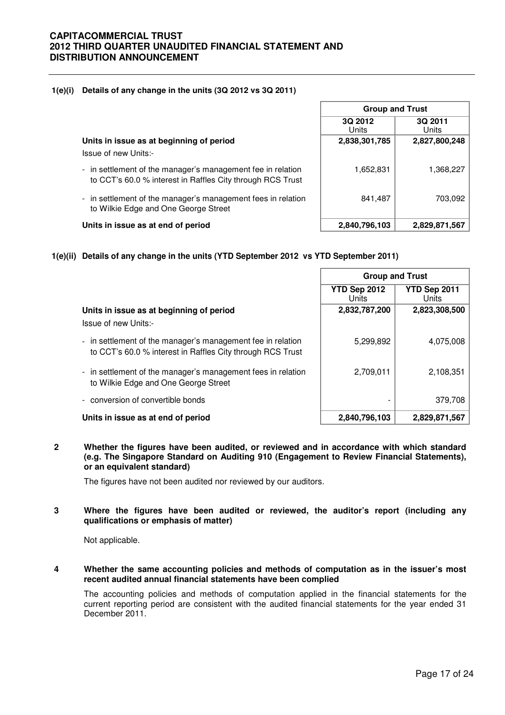#### **1(e)(i) Details of any change in the units (3Q 2012 vs 3Q 2011)**

**Units in issue as at beginning of period** Issue of new Units:-

- in settlement of the manager's management fee in relation to CCT's 60.0 % interest in Raffles City through RCS Trust
- in settlement of the manager's management fees in relation to Wilkie Edge and One George Street

| <b>Group and Trust</b> |                  |  |  |  |  |  |
|------------------------|------------------|--|--|--|--|--|
| 3Q 2012<br>Units       | 3Q 2011<br>Units |  |  |  |  |  |
| 2,838,301,785          | 2,827,800,248    |  |  |  |  |  |
| 1,652,831              | 1,368,227        |  |  |  |  |  |
| 841,487                | 703,092          |  |  |  |  |  |
| 2,840,796,103          | 2,829,871,567    |  |  |  |  |  |

# **Units in issue as at end of period 2,840,796,103 2,829,871,567**

**1(e)(ii) Details of any change in the units (YTD September 2012 vs YTD September 2011)**

|                                                                                                                           | <b>Group and Trust</b>       |                       |
|---------------------------------------------------------------------------------------------------------------------------|------------------------------|-----------------------|
|                                                                                                                           | YTD Sep 2012<br><b>Units</b> | YTD Sep 2011<br>Units |
| Units in issue as at beginning of period<br>Issue of new Units:-                                                          | 2,832,787,200                | 2,823,308,500         |
| - in settlement of the manager's management fee in relation<br>to CCT's 60.0 % interest in Raffles City through RCS Trust | 5,299,892                    | 4,075,008             |
| - in settlement of the manager's management fees in relation<br>to Wilkie Edge and One George Street                      | 2,709,011                    | 2,108,351             |
| conversion of convertible bonds<br>$\overline{\phantom{a}}$                                                               |                              | 379,708               |
| Units in issue as at end of period                                                                                        | 2,840,796,103                | 2,829,871,567         |

#### **2 Whether the figures have been audited, or reviewed and in accordance with which standard (e.g. The Singapore Standard on Auditing 910 (Engagement to Review Financial Statements), or an equivalent standard)**

The figures have not been audited nor reviewed by our auditors.

#### **3 Where the figures have been audited or reviewed, the auditor's report (including any qualifications or emphasis of matter)**

Not applicable.

#### **4 Whether the same accounting policies and methods of computation as in the issuer's most recent audited annual financial statements have been complied**

The accounting policies and methods of computation applied in the financial statements for the current reporting period are consistent with the audited financial statements for the year ended 31 December 2011.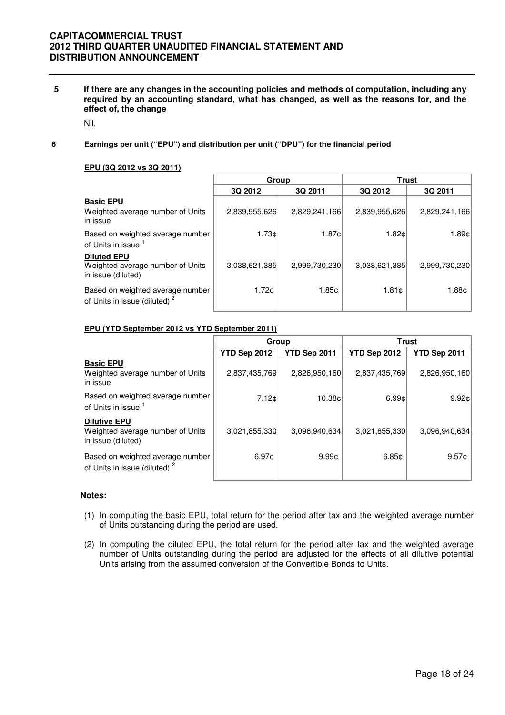**5 If there are any changes in the accounting policies and methods of computation, including any required by an accounting standard, what has changed, as well as the reasons for, and the effect of, the change** 

Nil.

**6 Earnings per unit ("EPU") and distribution per unit ("DPU") for the financial period**

#### **EPU (3Q 2012 vs 3Q 2011)**

|                                                                              | Group         |               |               | <b>Trust</b>  |
|------------------------------------------------------------------------------|---------------|---------------|---------------|---------------|
|                                                                              | 3Q 2012       | 3Q 2011       | 3Q 2012       | 3Q 2011       |
| <b>Basic EPU</b><br>Weighted average number of Units<br>in issue             | 2,839,955,626 | 2,829,241,166 | 2,839,955,626 | 2,829,241,166 |
| Based on weighted average number<br>of Units in issue                        | 1.73¢         | 1.87c         | 1.82c         | 1.89¢l        |
| <b>Diluted EPU</b><br>Weighted average number of Units<br>in issue (diluted) | 3,038,621,385 | 2,999,730,230 | 3,038,621,385 | 2,999,730,230 |
| Based on weighted average number<br>of Units in issue (diluted) <sup>2</sup> | 1.72c         | 1.85¢         | 1.81c         | 1.88¢         |

#### **EPU (YTD September 2012 vs YTD September 2011)**

|                                                                               | Group         |                   | <b>Trust</b>      |               |
|-------------------------------------------------------------------------------|---------------|-------------------|-------------------|---------------|
|                                                                               | YTD Sep 2012  | YTD Sep 2011      | YTD Sep 2012      | YTD Sep 2011  |
| <b>Basic EPU</b><br>Weighted average number of Units<br>in issue              | 2,837,435,769 | 2,826,950,160     | 2,837,435,769     | 2,826,950,160 |
| Based on weighted average number<br>of Units in issue 1                       | 7.12c         | 10.38¢            | 6.99 <sub>0</sub> | 9.92c         |
| <b>Dilutive EPU</b><br>Weighted average number of Units<br>in issue (diluted) | 3,021,855,330 | 3,096,940,634     | 3,021,855,330     | 3.096.940.634 |
| Based on weighted average number<br>of Units in issue (diluted) <sup>2</sup>  | 6.97c         | 9.99 <sub>0</sub> | 6.85 <sub>¢</sub> | $9.57$ ¢      |

#### **Notes:**

- (1) In computing the basic EPU, total return for the period after tax and the weighted average number of Units outstanding during the period are used.
- (2) In computing the diluted EPU, the total return for the period after tax and the weighted average number of Units outstanding during the period are adjusted for the effects of all dilutive potential Units arising from the assumed conversion of the Convertible Bonds to Units.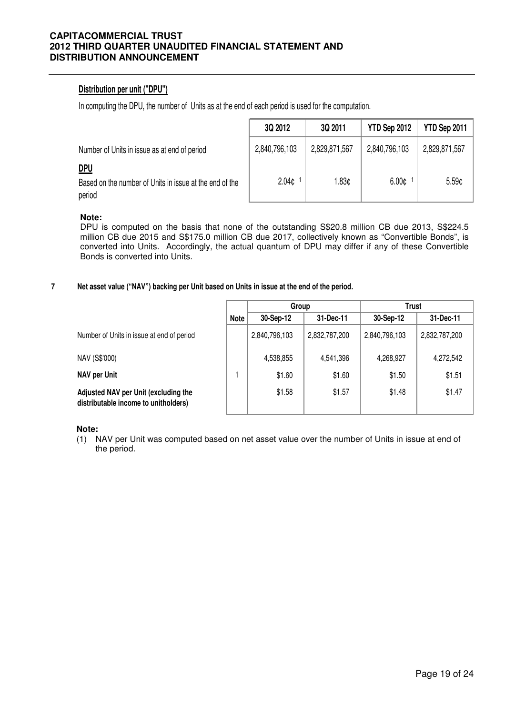## **Distribution per unit ("DPU")**

In computing the DPU, the number of Units as at the end of each period is used for the computation.

|                                                                                 | 3Q 2012           | 3Q 2011       | YTD Sep 2012      | YTD Sep 2011      |
|---------------------------------------------------------------------------------|-------------------|---------------|-------------------|-------------------|
| Number of Units in issue as at end of period                                    | 2,840,796,103     | 2,829,871,567 | 2,840,796,103     | 2,829,871,567     |
| <u>DPU</u><br>Based on the number of Units in issue at the end of the<br>period | 2.04 <sub>¢</sub> | 1.83¢         | 6.00 <sub>c</sub> | 5.59 <sub>¢</sub> |

### **Note:**

DPU is computed on the basis that none of the outstanding S\$20.8 million CB due 2013, S\$224.5 million CB due 2015 and S\$175.0 million CB due 2017, collectively known as "Convertible Bonds", is converted into Units. Accordingly, the actual quantum of DPU may differ if any of these Convertible Bonds is converted into Units.

#### **7 Net asset value ("NAV") backing per Unit based on Units in issue at the end of the period.**

|             | Group         |               | <b>Trust</b>  |               |
|-------------|---------------|---------------|---------------|---------------|
| <b>Note</b> | 30-Sep-12     | 31-Dec-11     | 30-Sep-12     | 31-Dec-11     |
|             | 2,840,796,103 | 2,832,787,200 | 2,840,796,103 | 2,832,787,200 |
|             | 4,538,855     | 4,541,396     | 4,268,927     | 4,272,542     |
|             | \$1.60        | \$1.60        | \$1.50        | \$1.51        |
|             | \$1.58        | \$1.57        | \$1.48        | \$1.47        |
|             |               |               |               |               |

**Note:**

(1) NAV per Unit was computed based on net asset value over the number of Units in issue at end of the period.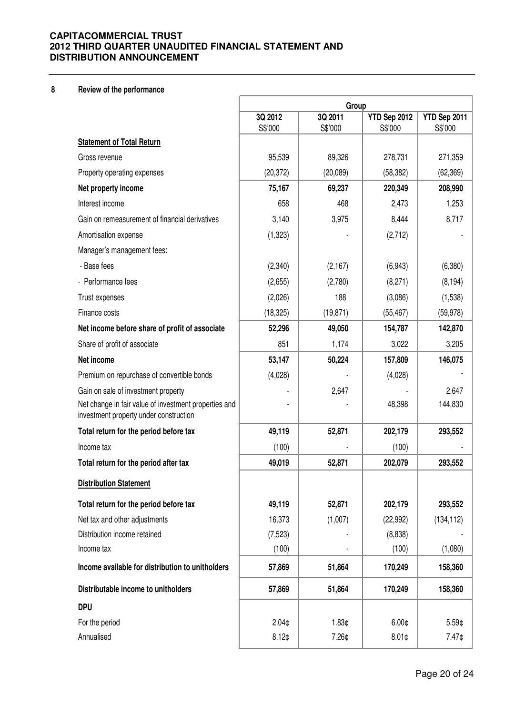## **8 Review of the performance**

|                                                                                                 | Group              |                    |                         |                         |
|-------------------------------------------------------------------------------------------------|--------------------|--------------------|-------------------------|-------------------------|
|                                                                                                 | 3Q 2012<br>S\$'000 | 3Q 2011<br>S\$'000 | YTD Sep 2012<br>S\$'000 | YTD Sep 2011<br>S\$'000 |
| <b>Statement of Total Return</b>                                                                |                    |                    |                         |                         |
| Gross revenue                                                                                   | 95,539             | 89,326             | 278,731                 | 271,359                 |
| Property operating expenses                                                                     | (20, 372)          | (20,089)           | (58, 382)               | (62, 369)               |
| Net property income                                                                             | 75,167             | 69,237             | 220,349                 | 208,990                 |
| Interest income                                                                                 | 658                | 468                | 2,473                   | 1,253                   |
| Gain on remeasurement of financial derivatives                                                  | 3,140              | 3,975              | 8,444                   | 8,717                   |
| Amortisation expense                                                                            | (1,323)            |                    | (2,712)                 |                         |
| Manager's management fees:                                                                      |                    |                    |                         |                         |
| - Base fees                                                                                     | (2,340)            | (2, 167)           | (6,943)                 | (6,380)                 |
| - Performance fees                                                                              | (2,655)            | (2,780)            | (8,271)                 | (8, 194)                |
| Trust expenses                                                                                  | (2,026)            | 188                | (3,086)                 | (1,538)                 |
| Finance costs                                                                                   | (18, 325)          | (19, 871)          | (55, 467)               | (59, 978)               |
| Net income before share of profit of associate                                                  | 52,296             | 49,050             | 154,787                 | 142,870                 |
| Share of profit of associate                                                                    | 851                | 1,174              | 3,022                   | 3,205                   |
| Net income                                                                                      | 53,147             | 50,224             | 157,809                 | 146,075                 |
| Premium on repurchase of convertible bonds                                                      | (4,028)            |                    | (4,028)                 |                         |
| Gain on sale of investment property                                                             |                    | 2,647              |                         | 2,647                   |
| Net change in fair value of investment properties and<br>investment property under construction |                    |                    | 48,398                  | 144,830                 |
| Total return for the period before tax                                                          | 49,119             | 52,871             | 202,179                 | 293,552                 |
| Income tax                                                                                      | (100)              |                    | (100)                   |                         |
| Total return for the period after tax                                                           | 49,019             | 52,871             | 202,079                 | 293,552                 |
| <b>Distribution Statement</b>                                                                   |                    |                    |                         |                         |
| Total return for the period before tax                                                          | 49,119             | 52,871             | 202,179                 | 293,552                 |
| Net tax and other adjustments                                                                   | 16,373             | (1,007)            | (22, 992)               | (134, 112)              |
| Distribution income retained                                                                    | (7, 523)           |                    | (8,838)                 |                         |
| Income tax                                                                                      | (100)              |                    | (100)                   | (1,080)                 |
| Income available for distribution to unitholders                                                | 57,869             | 51,864             | 170,249                 | 158,360                 |
| Distributable income to unitholders                                                             | 57,869             | 51,864             | 170,249                 | 158,360                 |
| <b>DPU</b>                                                                                      |                    |                    |                         |                         |
| For the period                                                                                  | 2.04 <sub>¢</sub>  | 1.83¢              | 6.00 <sub>¢</sub>       | 5.59¢                   |
| Annualised                                                                                      | 8.12 <sub>0</sub>  | 7.26¢              | $8.01$ ¢                | 7.47¢                   |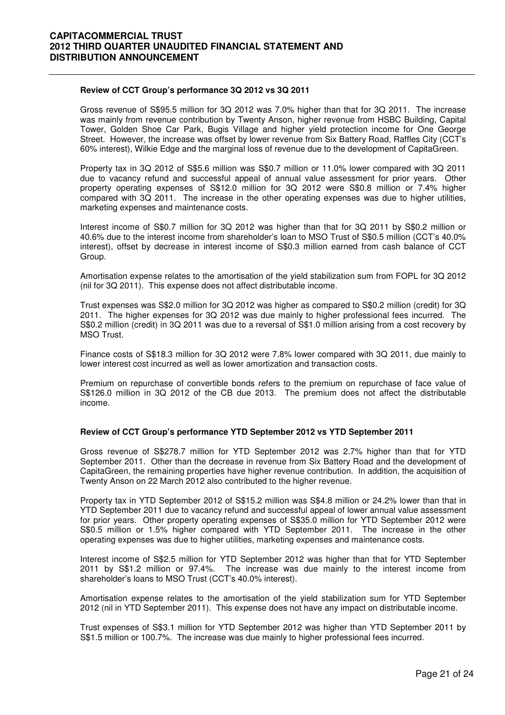#### **Review of CCT Group's performance 3Q 2012 vs 3Q 2011**

 Gross revenue of S\$95.5 million for 3Q 2012 was 7.0% higher than that for 3Q 2011. The increase was mainly from revenue contribution by Twenty Anson, higher revenue from HSBC Building, Capital Tower, Golden Shoe Car Park, Bugis Village and higher yield protection income for One George Street. However, the increase was offset by lower revenue from Six Battery Road, Raffles City (CCT's 60% interest), Wilkie Edge and the marginal loss of revenue due to the development of CapitaGreen.

Property tax in 3Q 2012 of S\$5.6 million was S\$0.7 million or 11.0% lower compared with 3Q 2011 due to vacancy refund and successful appeal of annual value assessment for prior years. Other property operating expenses of S\$12.0 million for 3Q 2012 were S\$0.8 million or 7.4% higher compared with 3Q 2011. The increase in the other operating expenses was due to higher utilities, marketing expenses and maintenance costs.

Interest income of S\$0.7 million for 3Q 2012 was higher than that for 3Q 2011 by S\$0.2 million or 40.6% due to the interest income from shareholder's loan to MSO Trust of S\$0.5 million (CCT's 40.0% interest), offset by decrease in interest income of S\$0.3 million earned from cash balance of CCT Group.

Amortisation expense relates to the amortisation of the yield stabilization sum from FOPL for 3Q 2012 (nil for 3Q 2011). This expense does not affect distributable income.

Trust expenses was S\$2.0 million for 3Q 2012 was higher as compared to S\$0.2 million (credit) for 3Q 2011. The higher expenses for 3Q 2012 was due mainly to higher professional fees incurred. The S\$0.2 million (credit) in 3Q 2011 was due to a reversal of S\$1.0 million arising from a cost recovery by MSO Trust.

Finance costs of S\$18.3 million for 3Q 2012 were 7.8% lower compared with 3Q 2011, due mainly to lower interest cost incurred as well as lower amortization and transaction costs.

Premium on repurchase of convertible bonds refers to the premium on repurchase of face value of S\$126.0 million in 3Q 2012 of the CB due 2013. The premium does not affect the distributable income.

#### **Review of CCT Group's performance YTD September 2012 vs YTD September 2011**

Gross revenue of S\$278.7 million for YTD September 2012 was 2.7% higher than that for YTD September 2011. Other than the decrease in revenue from Six Battery Road and the development of CapitaGreen, the remaining properties have higher revenue contribution. In addition, the acquisition of Twenty Anson on 22 March 2012 also contributed to the higher revenue.

Property tax in YTD September 2012 of S\$15.2 million was S\$4.8 million or 24.2% lower than that in YTD September 2011 due to vacancy refund and successful appeal of lower annual value assessment for prior years. Other property operating expenses of S\$35.0 million for YTD September 2012 were S\$0.5 million or 1.5% higher compared with YTD September 2011. The increase in the other operating expenses was due to higher utilities, marketing expenses and maintenance costs.

Interest income of S\$2.5 million for YTD September 2012 was higher than that for YTD September 2011 by S\$1.2 million or 97.4%. The increase was due mainly to the interest income from shareholder's loans to MSO Trust (CCT's 40.0% interest).

Amortisation expense relates to the amortisation of the yield stabilization sum for YTD September 2012 (nil in YTD September 2011). This expense does not have any impact on distributable income.

Trust expenses of S\$3.1 million for YTD September 2012 was higher than YTD September 2011 by S\$1.5 million or 100.7%. The increase was due mainly to higher professional fees incurred.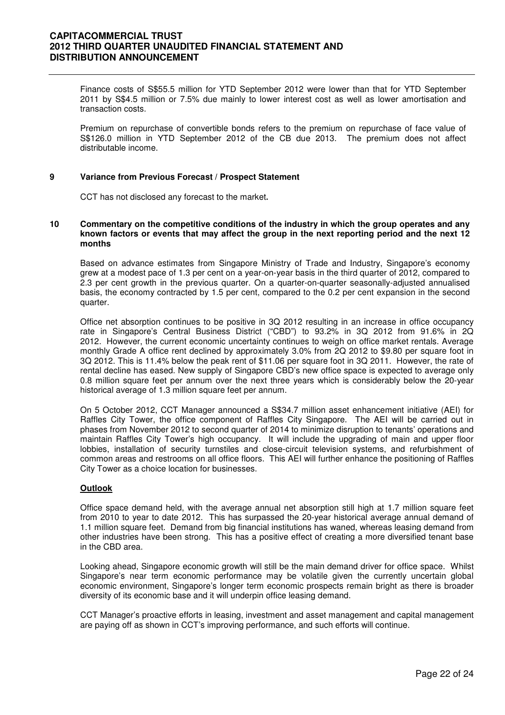Finance costs of S\$55.5 million for YTD September 2012 were lower than that for YTD September 2011 by S\$4.5 million or 7.5% due mainly to lower interest cost as well as lower amortisation and transaction costs.

Premium on repurchase of convertible bonds refers to the premium on repurchase of face value of S\$126.0 million in YTD September 2012 of the CB due 2013. The premium does not affect distributable income.

#### **9 Variance from Previous Forecast / Prospect Statement**

CCT has not disclosed any forecast to the market**.** 

#### **10 Commentary on the competitive conditions of the industry in which the group operates and any known factors or events that may affect the group in the next reporting period and the next 12 months**

Based on advance estimates from Singapore Ministry of Trade and Industry, Singapore's economy grew at a modest pace of 1.3 per cent on a year-on-year basis in the third quarter of 2012, compared to 2.3 per cent growth in the previous quarter. On a quarter-on-quarter seasonally-adjusted annualised basis, the economy contracted by 1.5 per cent, compared to the 0.2 per cent expansion in the second quarter.

Office net absorption continues to be positive in 3Q 2012 resulting in an increase in office occupancy rate in Singapore's Central Business District ("CBD") to 93.2% in 3Q 2012 from 91.6% in 2Q 2012. However, the current economic uncertainty continues to weigh on office market rentals. Average monthly Grade A office rent declined by approximately 3.0% from 2Q 2012 to \$9.80 per square foot in 3Q 2012. This is 11.4% below the peak rent of \$11.06 per square foot in 3Q 2011. However, the rate of rental decline has eased. New supply of Singapore CBD's new office space is expected to average only 0.8 million square feet per annum over the next three years which is considerably below the 20-year historical average of 1.3 million square feet per annum.

On 5 October 2012, CCT Manager announced a S\$34.7 million asset enhancement initiative (AEI) for Raffles City Tower, the office component of Raffles City Singapore. The AEI will be carried out in phases from November 2012 to second quarter of 2014 to minimize disruption to tenants' operations and maintain Raffles City Tower's high occupancy. It will include the upgrading of main and upper floor lobbies, installation of security turnstiles and close-circuit television systems, and refurbishment of common areas and restrooms on all office floors. This AEI will further enhance the positioning of Raffles City Tower as a choice location for businesses.

#### **Outlook**

Office space demand held, with the average annual net absorption still high at 1.7 million square feet from 2010 to year to date 2012. This has surpassed the 20-year historical average annual demand of 1.1 million square feet. Demand from big financial institutions has waned, whereas leasing demand from other industries have been strong. This has a positive effect of creating a more diversified tenant base in the CBD area.

Looking ahead, Singapore economic growth will still be the main demand driver for office space. Whilst Singapore's near term economic performance may be volatile given the currently uncertain global economic environment, Singapore's longer term economic prospects remain bright as there is broader diversity of its economic base and it will underpin office leasing demand.

CCT Manager's proactive efforts in leasing, investment and asset management and capital management are paying off as shown in CCT's improving performance, and such efforts will continue.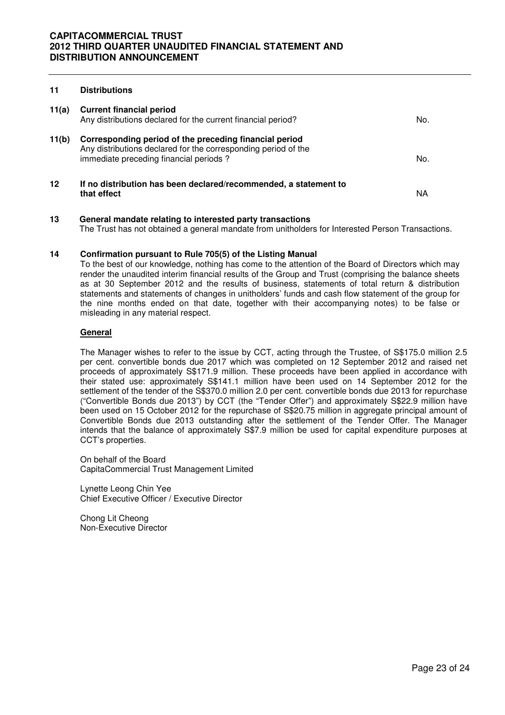#### **11 Distributions**

| 11(a) | <b>Current financial period</b><br>Any distributions declared for the current financial period?                                                                    | No. |
|-------|--------------------------------------------------------------------------------------------------------------------------------------------------------------------|-----|
| 11(b) | Corresponding period of the preceding financial period<br>Any distributions declared for the corresponding period of the<br>immediate preceding financial periods? | No. |
| 12    | If no distribution has been declared/recommended, a statement to<br>that effect                                                                                    | ΝA  |

**13 General mandate relating to interested party transactions** The Trust has not obtained a general mandate from unitholders for Interested Person Transactions.

#### **14 Confirmation pursuant to Rule 705(5) of the Listing Manual**

To the best of our knowledge, nothing has come to the attention of the Board of Directors which may render the unaudited interim financial results of the Group and Trust (comprising the balance sheets as at 30 September 2012 and the results of business, statements of total return & distribution statements and statements of changes in unitholders' funds and cash flow statement of the group for the nine months ended on that date, together with their accompanying notes) to be false or misleading in any material respect.

#### **General**

The Manager wishes to refer to the issue by CCT, acting through the Trustee, of S\$175.0 million 2.5 per cent. convertible bonds due 2017 which was completed on 12 September 2012 and raised net proceeds of approximately S\$171.9 million. These proceeds have been applied in accordance with their stated use: approximately S\$141.1 million have been used on 14 September 2012 for the settlement of the tender of the S\$370.0 million 2.0 per cent. convertible bonds due 2013 for repurchase ("Convertible Bonds due 2013") by CCT (the "Tender Offer") and approximately S\$22.9 million have been used on 15 October 2012 for the repurchase of S\$20.75 million in aggregate principal amount of Convertible Bonds due 2013 outstanding after the settlement of the Tender Offer. The Manager intends that the balance of approximately S\$7.9 million be used for capital expenditure purposes at CCT's properties.

On behalf of the Board CapitaCommercial Trust Management Limited

Lynette Leong Chin Yee Chief Executive Officer / Executive Director

Chong Lit Cheong Non-Executive Director